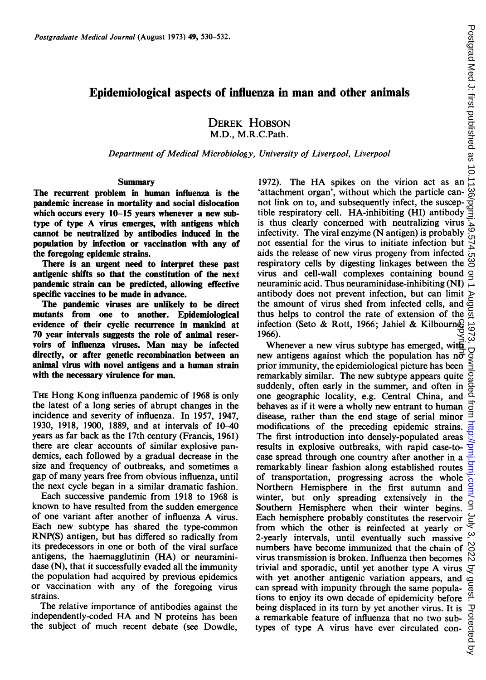## Epidemiological aspects of influenza in man and other animals

DEREK HOBSON M.D., M.R.C.Path.

Department of Medical Microbiology, University of Liverpool, Liverpool

## Summary

The recurrent problem in human influenza is the pandemic increase in mortality and social dislocation which occurs every 10-15 years whenever a new subtype of type A virus emerges, with antigens which cannot be neutralized by antibodies induced in the population by infection or vaccination with any of the foregoing epidemic strains.

There is an urgent need to interpret these past antigenic shifts so that the constitution of the next pandemic strain can be predicted, allowing effective specific vaccines to be made in advance.

The pandemic viruses are unlikely to be direct mutants from one to another. Epidemiological evidence of their cyclic recurrence in mankind at 70 year intervals suggests the role of animal reservoirs of influenza viruses. Man may be infected directly, or after genetic recombination between an animal virus with novel antigens and a human strain with the necessary virulence for man.

THE Hong Kong influenza pandemic of 1968 is only the latest of a long series of abrupt changes in the incidence and severity of influenza. In 1957, 1947, 1930, 1918, 1900, 1889, and at intervals of 10-40 years as far back as the 17th century (Francis, 1961) there are clear accounts of similar explosive pandemics, each followed by a gradual decrease in the size and frequency of outbreaks, and sometimes a gap of many years free from obvious influenza, until the next cycle began in a similar dramatic fashion.

Each successive pandemic from 1918 to 1968 is known to have resulted from the sudden emergence of one variant after another of influenza A virus. Each new subtype has shared the type-common RNP(S) antigen, but has differed so radically from its predecessors in one or both of the viral surface antigens, the haemagglutinin (HA) or neuraminidase (N), that it successfully evaded all the immunity the population had acquired by previous epidemics or vaccination with any of the foregoing virus strains.

The relative importance of antibodies against the independently-coded HA and N proteins has been the subject of much recent debate (see Dowdle,

1972). The HA spikes on the virion act as an interval and the virion and  $\frac{1}{2}$  and  $\frac{1}{2}$  and  $\frac{1}{2}$  and  $\frac{1}{2}$  and  $\frac{1}{2}$  and  $\frac{1}{2}$  and  $\frac{1}{2}$  and  $\frac{1}{2}$  and  $\frac{1}{2}$  and  $\frac{1}{2}$  and  $\frac{1}{2}$ 'attachment organ', without which the particle cannot link on to, and subsequently infect, the suscepnot link on to, and subsequently infect, the suscep- $\frac{5}{6}$ <br>tible respiratory cell. HA-inhibiting (HI) antibody  $\frac{3}{6}$ is thus clearly concerned with neutralizing virus infectivity. The viral enzyme (N antigen) is probably not essential for the virus to initiate infection but aids the release of new virus progeny from infected respiratory cells by digesting linkages between the virus and cell-wall complexes containing bound neuraminic acid. Thus neuraminidase-inhibiting (NI) antibody does not prevent infection, but can limit the amount of virus shed from infected cells, and thus helps to control the rate of extension of the infection (Seto & Rott, 1966; Jahiel & Kilbourne, 1966).

Whenever a new virus subtype has emerged, with new antigens against which the population has  $n\bar{\sigma}$ prior immunity, the epidemiological picture has been remarkably similar. The new subtype appears quite suddenly, often early in the summer, and often in one geographic locality, e.g. Central China, and behaves as if it were a wholly new entrant to human disease, rather than the end stage of serial minor modifications of the preceding epidemic strains. The first introduction into densely-populated areas results in explosive outbreaks, with rapid case-tocase spread through one country after another in a remarkably linear fashion along established routes of transportation, progressing across the whole Northern Hemisphere in the first autumn and winter, but only spreading extensively in the Southern Hemisphere when their winter begins. Each hemisphere probably constitutes the reservoir from which the other is reinfected at yearly or 2-yearly intervals, until eventually such massive numbers have become immunized that the chain of virus transmission is broken. Influenza then becomes trivial and sporadic, until yet another type A virus  $\mathcal{G}$ with yet another antigenic variation appears, and can spread with impunity through the same populations to enjoy its own decade of epidemicity before being displaced in its turn by yet another virus. It is a remarkable feature of influenza that no two sub-<br>types of type A virus have ever circulated coninfection (Seto & Rott, 1966; Jahiel & Kilbourna<sup>5</sup><br>1966).<br>
Whenever a new virus subtype has emerged, with<br>mew antigens against which the population has not<br>prior immunity, the epidemiological picture has been<br>remarkably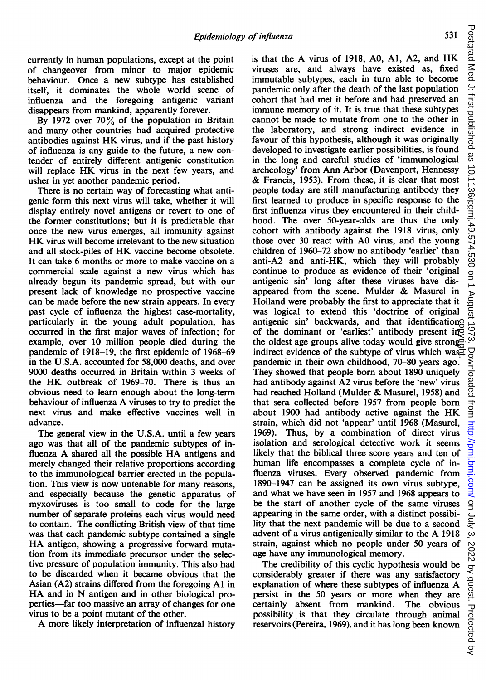currently in human populations, except at the point of changeover from minor to major epidemic behaviour. Once a new subtype has established itself, it dominates the whole world scene of influenza and the foregoing antigenic variant disappears from mankind, apparently forever.

By 1972 over 70% of the population in Britain and many other countries had acquired protective antibodies against HK virus, and if the past history of influenza is any guide to the future, a new contender of entirely different antigenic constitution will replace HK virus in the next few years, and usher in yet another pandemic period.

There is no certain way of forecasting what antigenic form this next virus will take, whether it will display entirely novel antigens or revert to one of the former constitutions; but it is predictable that once the new virus emerges, all immunity against HK virus will become irrelevant to the new situation and all stock-piles of HK vaccine become obsolete. It can take 6 months or more to make vaccine on a commercial scale against a new virus which has already begun its pandemic spread, but with our present lack of knowledge no prospective vaccine can be made before the new strain appears. In every past cycle of influenza the highest case-mortality, particularly in the young adult population, has occurred in the first major waves of infection; for example, over 10 million people died during the pandemic of 1918-19, the first epidemic of 1968-69 in the U.S.A. accounted for 58,000 deaths, and over 9000 deaths occurred in Britain within 3 weeks of the HK outbreak of 1969-70. There is thus an obvious need to learn enough about the long-term behaviour of influenza A viruses to try to predict the next virus and make effective vaccines well in advance.

The general view in the U.S.A. until a few years ago was that all of the pandemic subtypes of influenza A shared all the possible HA antigens and merely changed their relative proportions according to the immunological barrier erected in the population. This view is now untenable for many reasons, and especially because the genetic apparatus of myxoviruses is too small to code for the large number of separate proteins each virus would need to contain. The conflicting British view of that time was that each pandemic subtype contained a single HA antigen, showing <sup>a</sup> progressive forward mutation from its immediate precursor under the selective pressure of population immunity. This also had to be discarded when it became obvious that the Asian (A2) strains differed from the foregoing Al in HA and in N antigen and in other biological properties-far too massive an array of changes for one virus to be a point mutant of the other.

A more likely interpretation of influenzal history

is that the A virus of 1918, A0, Al, A2, and HK viruses are, and always have existed as, fixed immutable subtypes, each in turn able to become pandemic only after the death of the last population cohort that had met it before and had preserved an immune memory of it. It is true that these subtypes cannot be made to mutate from one to the other in the laboratory, and strong indirect evidence in favour of this hypothesis, although it was originally developed to investigate earlier possibilities, is found in the long and careful studies of 'immunological archeology' from Ann Arbor (Davenport, Hennessy & Francis, 1953). From these, it is clear that most people today are still manufacturing antibody they first learned to produce in specific response to the first influenza virus they encountered in their childhood. The over 50-year-olds are thus the only cohort with antibody against the 1918 virus, only those over 30 react with AO virus, and the young children of 1960-72 show no antibody 'earlier' than anti-A2 and anti-HK, which they will probably continue to produce as evidence of their 'original antigenic sin' long after these viruses have disappeared from the scene. Mulder & Masurel in Holland were probably the first to appreciate that it was logical to extend this 'doctrine of original antigenic sin' backwards, and that identificationg of the dominant or 'earliest' antibody present in the oldest age groups alive today would give strong antigenic sin' backwards, and that identifications<br>of the dominant or 'earliest' antibody present ing<br>the oldest age groups alive today would give strong-<br>indirect evidence of the subtype of virus which was pandemic in their own childhood, 70-80 years ago. They showed that people born about 1890 uniquely had antibody against A2 virus before the 'new' virus had reached Holland (Mulder & Masurel, 1958) and that sera collected before 1957 from people born about <sup>1900</sup> had antibody active against the HK strain, which did not 'appear' until 1968 (Masurel, 1969). Thus, by a combination of direct virus isolation and serological detective work it seems likely that the biblical three score years and ten of human life encompasses a complete cycle of influenza viruses. Every observed pandemic from 1890-1947 can be assigned its own virus subtype, and what we have seen in 1957 and 1968 appears to be the start of another cycle of the same viruses appearing in the same order, with a distinct possibility that the next pandemic will be due to a second advent of <sup>a</sup> virus antigenically similar to the A <sup>1918</sup> strain, against which no people under 50 years of age have any immunological memory.

The credibility of this cyclic hypothesis would be considerably greater if there was any satisfactory explanation of where these subtypes of influenza A persist in the 50 years or more when they are certainly absent from mankind. The obvious possibility is that they circulate through animal reservoirs (Pereira, 1969), and it has long been known